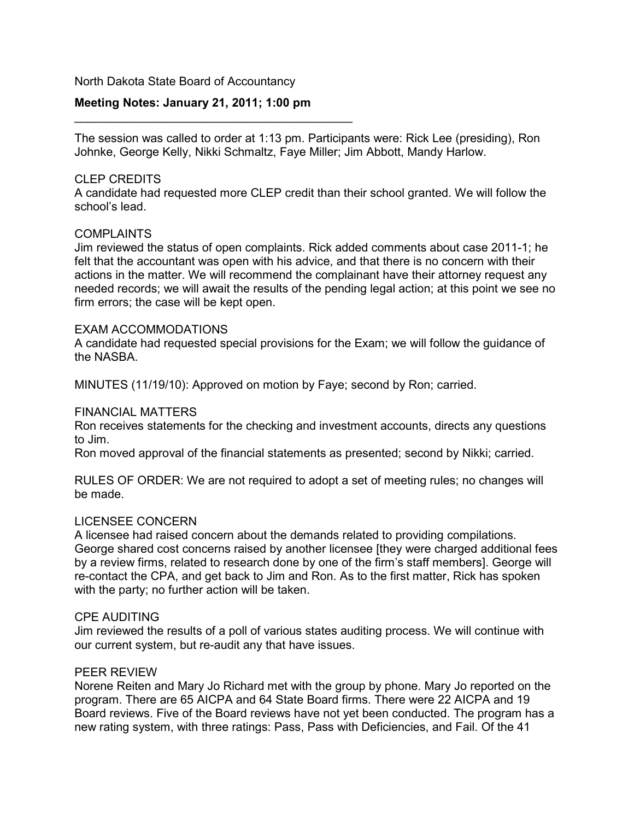### North Dakota State Board of Accountancy

## **Meeting Notes: January 21, 2011; 1:00 pm**

\_\_\_\_\_\_\_\_\_\_\_\_\_\_\_\_\_\_\_\_\_\_\_\_\_\_\_\_\_\_\_\_\_\_\_\_\_\_\_\_\_\_

The session was called to order at 1:13 pm. Participants were: Rick Lee (presiding), Ron Johnke, George Kelly, Nikki Schmaltz, Faye Miller; Jim Abbott, Mandy Harlow.

### CLEP CREDITS

A candidate had requested more CLEP credit than their school granted. We will follow the school's lead.

### **COMPLAINTS**

Jim reviewed the status of open complaints. Rick added comments about case 2011-1; he felt that the accountant was open with his advice, and that there is no concern with their actions in the matter. We will recommend the complainant have their attorney request any needed records; we will await the results of the pending legal action; at this point we see no firm errors; the case will be kept open.

### EXAM ACCOMMODATIONS

A candidate had requested special provisions for the Exam; we will follow the guidance of the NASBA.

MINUTES (11/19/10): Approved on motion by Faye; second by Ron; carried.

### FINANCIAL MATTERS

Ron receives statements for the checking and investment accounts, directs any questions to Jim.

Ron moved approval of the financial statements as presented; second by Nikki; carried.

RULES OF ORDER: We are not required to adopt a set of meeting rules; no changes will be made.

### LICENSEE CONCERN

A licensee had raised concern about the demands related to providing compilations. George shared cost concerns raised by another licensee [they were charged additional fees by a review firms, related to research done by one of the firm's staff members]. George will re-contact the CPA, and get back to Jim and Ron. As to the first matter, Rick has spoken with the party; no further action will be taken.

### CPE AUDITING

Jim reviewed the results of a poll of various states auditing process. We will continue with our current system, but re-audit any that have issues.

### PEER REVIEW

Norene Reiten and Mary Jo Richard met with the group by phone. Mary Jo reported on the program. There are 65 AICPA and 64 State Board firms. There were 22 AICPA and 19 Board reviews. Five of the Board reviews have not yet been conducted. The program has a new rating system, with three ratings: Pass, Pass with Deficiencies, and Fail. Of the 41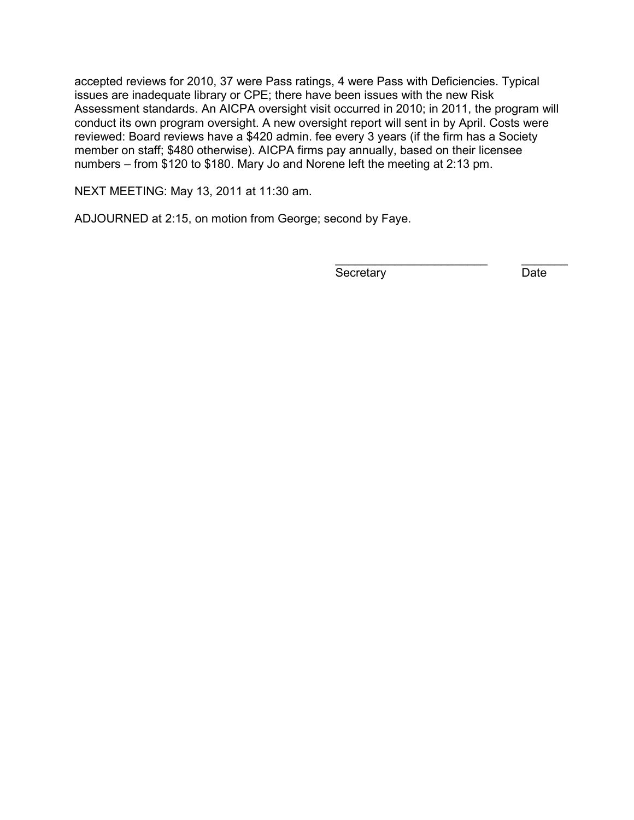accepted reviews for 2010, 37 were Pass ratings, 4 were Pass with Deficiencies. Typical issues are inadequate library or CPE; there have been issues with the new Risk Assessment standards. An AICPA oversight visit occurred in 2010; in 2011, the program will conduct its own program oversight. A new oversight report will sent in by April. Costs were reviewed: Board reviews have a \$420 admin. fee every 3 years (if the firm has a Society member on staff; \$480 otherwise). AICPA firms pay annually, based on their licensee numbers – from \$120 to \$180. Mary Jo and Norene left the meeting at 2:13 pm.

NEXT MEETING: May 13, 2011 at 11:30 am.

ADJOURNED at 2:15, on motion from George; second by Faye.

Secretary Date

\_\_\_\_\_\_\_\_\_\_\_\_\_\_\_\_\_\_\_\_\_\_\_ \_\_\_\_\_\_\_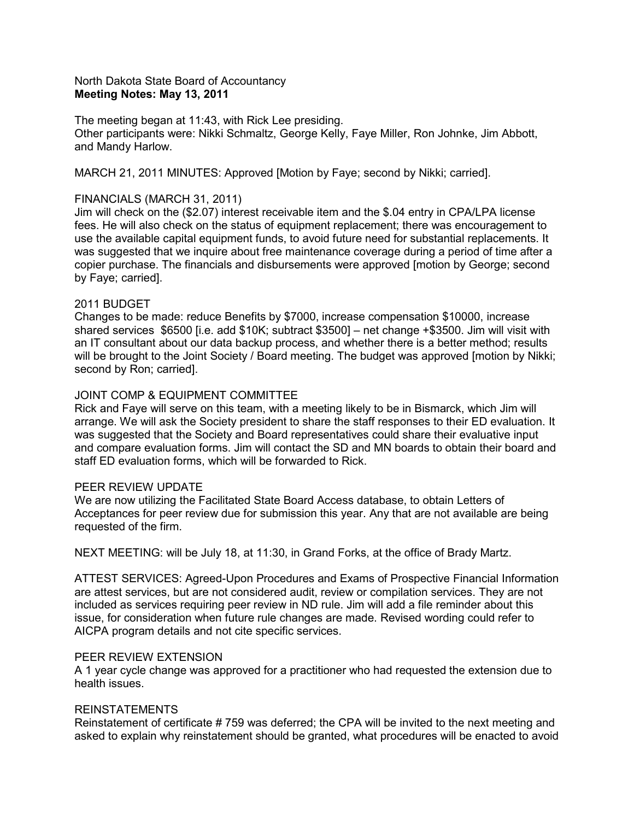### North Dakota State Board of Accountancy **Meeting Notes: May 13, 2011**

The meeting began at 11:43, with Rick Lee presiding. Other participants were: Nikki Schmaltz, George Kelly, Faye Miller, Ron Johnke, Jim Abbott, and Mandy Harlow.

MARCH 21, 2011 MINUTES: Approved [Motion by Faye; second by Nikki; carried].

### FINANCIALS (MARCH 31, 2011)

Jim will check on the (\$2.07) interest receivable item and the \$.04 entry in CPA/LPA license fees. He will also check on the status of equipment replacement; there was encouragement to use the available capital equipment funds, to avoid future need for substantial replacements. It was suggested that we inquire about free maintenance coverage during a period of time after a copier purchase. The financials and disbursements were approved [motion by George; second by Faye; carried].

### 2011 BUDGET

Changes to be made: reduce Benefits by \$7000, increase compensation \$10000, increase shared services \$6500 [i.e. add \$10K; subtract \$3500] – net change +\$3500. Jim will visit with an IT consultant about our data backup process, and whether there is a better method; results will be brought to the Joint Society / Board meeting. The budget was approved [motion by Nikki; second by Ron; carried].

### JOINT COMP & EQUIPMENT COMMITTEE

Rick and Faye will serve on this team, with a meeting likely to be in Bismarck, which Jim will arrange. We will ask the Society president to share the staff responses to their ED evaluation. It was suggested that the Society and Board representatives could share their evaluative input and compare evaluation forms. Jim will contact the SD and MN boards to obtain their board and staff ED evaluation forms, which will be forwarded to Rick.

### PEER REVIEW UPDATE

We are now utilizing the Facilitated State Board Access database, to obtain Letters of Acceptances for peer review due for submission this year. Any that are not available are being requested of the firm.

NEXT MEETING: will be July 18, at 11:30, in Grand Forks, at the office of Brady Martz.

ATTEST SERVICES: Agreed-Upon Procedures and Exams of Prospective Financial Information are attest services, but are not considered audit, review or compilation services. They are not included as services requiring peer review in ND rule. Jim will add a file reminder about this issue, for consideration when future rule changes are made. Revised wording could refer to AICPA program details and not cite specific services.

### PEER REVIEW EXTENSION

A 1 year cycle change was approved for a practitioner who had requested the extension due to health issues.

### REINSTATEMENTS

Reinstatement of certificate # 759 was deferred; the CPA will be invited to the next meeting and asked to explain why reinstatement should be granted, what procedures will be enacted to avoid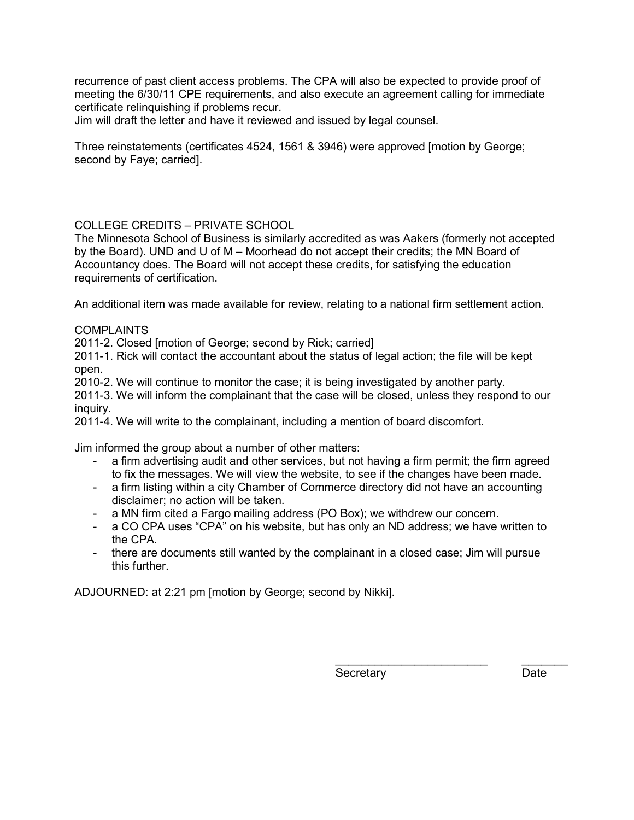recurrence of past client access problems. The CPA will also be expected to provide proof of meeting the 6/30/11 CPE requirements, and also execute an agreement calling for immediate certificate relinquishing if problems recur.

Jim will draft the letter and have it reviewed and issued by legal counsel.

Three reinstatements (certificates 4524, 1561 & 3946) were approved [motion by George; second by Faye; carried].

## COLLEGE CREDITS – PRIVATE SCHOOL

The Minnesota School of Business is similarly accredited as was Aakers (formerly not accepted by the Board). UND and U of M – Moorhead do not accept their credits; the MN Board of Accountancy does. The Board will not accept these credits, for satisfying the education requirements of certification.

An additional item was made available for review, relating to a national firm settlement action.

## COMPLAINTS

2011-2. Closed [motion of George; second by Rick; carried]

2011-1. Rick will contact the accountant about the status of legal action; the file will be kept open.

2010-2. We will continue to monitor the case; it is being investigated by another party.

2011-3. We will inform the complainant that the case will be closed, unless they respond to our inquiry.

2011-4. We will write to the complainant, including a mention of board discomfort.

Jim informed the group about a number of other matters:

- a firm advertising audit and other services, but not having a firm permit; the firm agreed to fix the messages. We will view the website, to see if the changes have been made.
- a firm listing within a city Chamber of Commerce directory did not have an accounting disclaimer; no action will be taken.
- a MN firm cited a Fargo mailing address (PO Box); we withdrew our concern.
- a CO CPA uses "CPA" on his website, but has only an ND address; we have written to the CPA.
- there are documents still wanted by the complainant in a closed case; Jim will pursue this further.

ADJOURNED: at 2:21 pm [motion by George; second by Nikki].

Secretary Date

\_\_\_\_\_\_\_\_\_\_\_\_\_\_\_\_\_\_\_\_\_\_\_ \_\_\_\_\_\_\_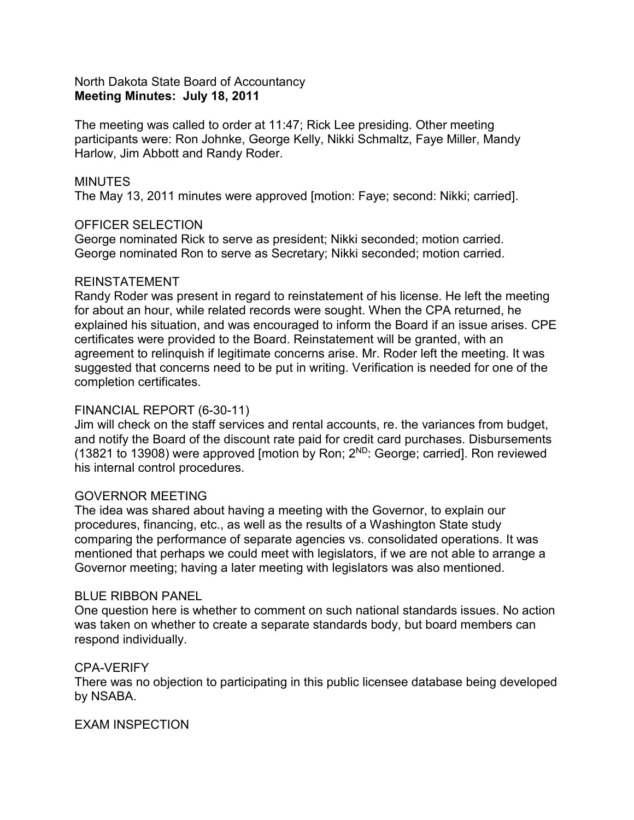# North Dakota State Board of Accountancy **Meeting Minutes: July 18, 2011**

The meeting was called to order at 11:47; Rick Lee presiding. Other meeting participants were: Ron Johnke, George Kelly, Nikki Schmaltz, Faye Miller, Mandy Harlow, Jim Abbott and Randy Roder.

## **MINUTES**

The May 13, 2011 minutes were approved [motion: Faye; second: Nikki; carried].

## OFFICER SELECTION

George nominated Rick to serve as president; Nikki seconded; motion carried. George nominated Ron to serve as Secretary; Nikki seconded; motion carried.

## REINSTATEMENT

Randy Roder was present in regard to reinstatement of his license. He left the meeting for about an hour, while related records were sought. When the CPA returned, he explained his situation, and was encouraged to inform the Board if an issue arises. CPE certificates were provided to the Board. Reinstatement will be granted, with an agreement to relinquish if legitimate concerns arise. Mr. Roder left the meeting. It was suggested that concerns need to be put in writing. Verification is needed for one of the completion certificates.

# FINANCIAL REPORT (6-30-11)

Jim will check on the staff services and rental accounts, re. the variances from budget, and notify the Board of the discount rate paid for credit card purchases. Disbursements (13821 to 13908) were approved [motion by Ron; 2ND: George; carried]. Ron reviewed his internal control procedures.

## GOVERNOR MEETING

The idea was shared about having a meeting with the Governor, to explain our procedures, financing, etc., as well as the results of a Washington State study comparing the performance of separate agencies vs. consolidated operations. It was mentioned that perhaps we could meet with legislators, if we are not able to arrange a Governor meeting; having a later meeting with legislators was also mentioned.

## BLUE RIBBON PANEL

One question here is whether to comment on such national standards issues. No action was taken on whether to create a separate standards body, but board members can respond individually.

# CPA-VERIFY

There was no objection to participating in this public licensee database being developed by NSABA.

# EXAM INSPECTION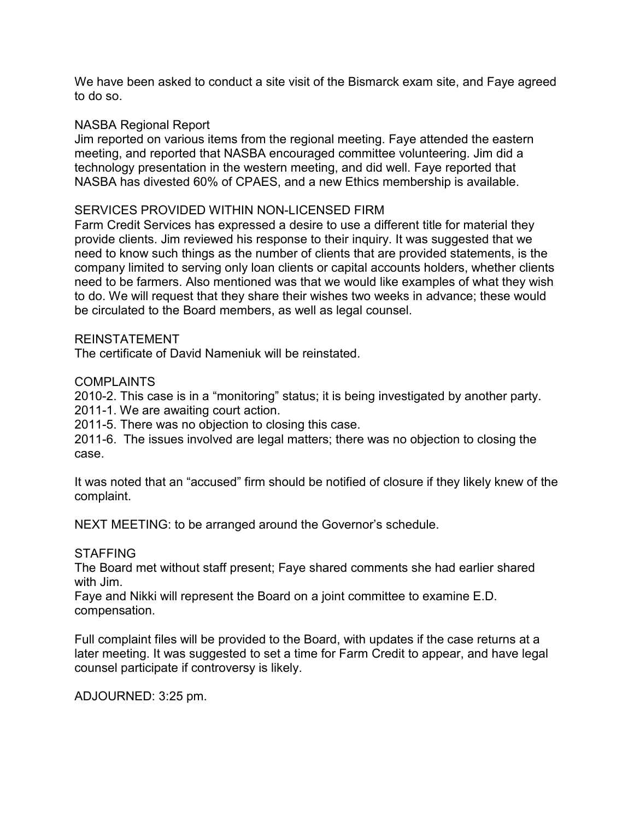We have been asked to conduct a site visit of the Bismarck exam site, and Faye agreed to do so.

# NASBA Regional Report

Jim reported on various items from the regional meeting. Faye attended the eastern meeting, and reported that NASBA encouraged committee volunteering. Jim did a technology presentation in the western meeting, and did well. Faye reported that NASBA has divested 60% of CPAES, and a new Ethics membership is available.

# SERVICES PROVIDED WITHIN NON-LICENSED FIRM

Farm Credit Services has expressed a desire to use a different title for material they provide clients. Jim reviewed his response to their inquiry. It was suggested that we need to know such things as the number of clients that are provided statements, is the company limited to serving only loan clients or capital accounts holders, whether clients need to be farmers. Also mentioned was that we would like examples of what they wish to do. We will request that they share their wishes two weeks in advance; these would be circulated to the Board members, as well as legal counsel.

## REINSTATEMENT

The certificate of David Nameniuk will be reinstated.

## **COMPLAINTS**

2010-2. This case is in a "monitoring" status; it is being investigated by another party. 2011-1. We are awaiting court action.

2011-5. There was no objection to closing this case.

2011-6. The issues involved are legal matters; there was no objection to closing the case.

It was noted that an "accused" firm should be notified of closure if they likely knew of the complaint.

NEXT MEETING: to be arranged around the Governor's schedule.

# **STAFFING**

The Board met without staff present; Faye shared comments she had earlier shared with Jim.

Faye and Nikki will represent the Board on a joint committee to examine E.D. compensation.

Full complaint files will be provided to the Board, with updates if the case returns at a later meeting. It was suggested to set a time for Farm Credit to appear, and have legal counsel participate if controversy is likely.

ADJOURNED: 3:25 pm.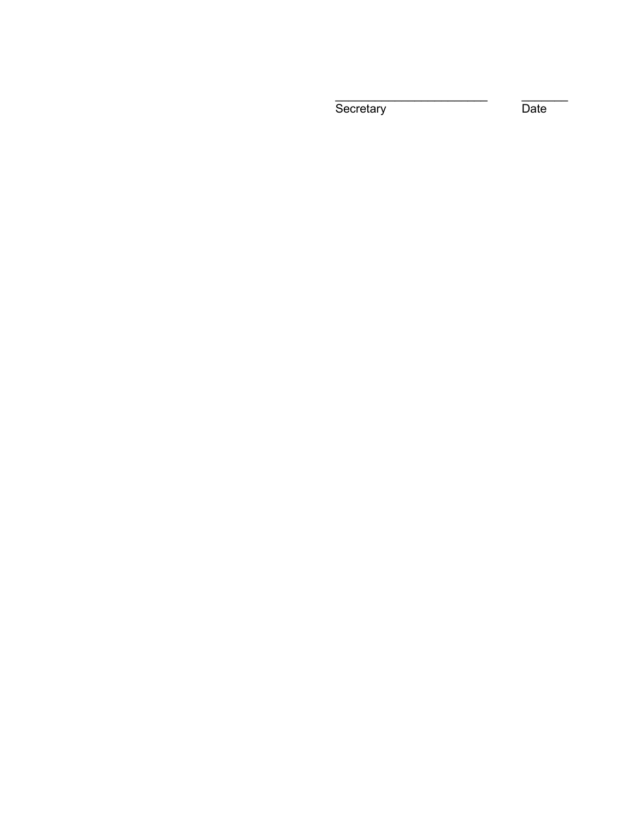Secretary Date

\_\_\_\_\_\_\_\_\_\_\_\_\_\_\_\_\_\_\_\_\_\_\_ \_\_\_\_\_\_\_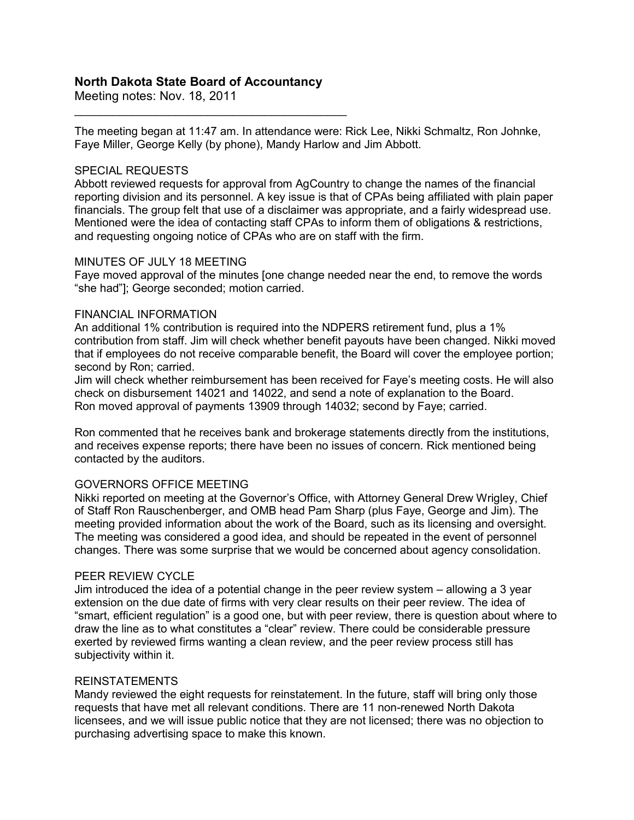## **North Dakota State Board of Accountancy**

\_\_\_\_\_\_\_\_\_\_\_\_\_\_\_\_\_\_\_\_\_\_\_\_\_\_\_\_\_\_\_\_\_\_\_\_\_\_\_\_\_\_\_

Meeting notes: Nov. 18, 2011

The meeting began at 11:47 am. In attendance were: Rick Lee, Nikki Schmaltz, Ron Johnke, Faye Miller, George Kelly (by phone), Mandy Harlow and Jim Abbott.

### SPECIAL REQUESTS

Abbott reviewed requests for approval from AgCountry to change the names of the financial reporting division and its personnel. A key issue is that of CPAs being affiliated with plain paper financials. The group felt that use of a disclaimer was appropriate, and a fairly widespread use. Mentioned were the idea of contacting staff CPAs to inform them of obligations & restrictions, and requesting ongoing notice of CPAs who are on staff with the firm.

#### MINUTES OF JULY 18 MEETING

Faye moved approval of the minutes [one change needed near the end, to remove the words "she had"]; George seconded; motion carried.

#### FINANCIAL INFORMATION

An additional 1% contribution is required into the NDPERS retirement fund, plus a 1% contribution from staff. Jim will check whether benefit payouts have been changed. Nikki moved that if employees do not receive comparable benefit, the Board will cover the employee portion; second by Ron; carried.

Jim will check whether reimbursement has been received for Faye's meeting costs. He will also check on disbursement 14021 and 14022, and send a note of explanation to the Board. Ron moved approval of payments 13909 through 14032; second by Faye; carried.

Ron commented that he receives bank and brokerage statements directly from the institutions, and receives expense reports; there have been no issues of concern. Rick mentioned being contacted by the auditors.

### GOVERNORS OFFICE MEETING

Nikki reported on meeting at the Governor's Office, with Attorney General Drew Wrigley, Chief of Staff Ron Rauschenberger, and OMB head Pam Sharp (plus Faye, George and Jim). The meeting provided information about the work of the Board, such as its licensing and oversight. The meeting was considered a good idea, and should be repeated in the event of personnel changes. There was some surprise that we would be concerned about agency consolidation.

### PEER REVIEW CYCLE

Jim introduced the idea of a potential change in the peer review system – allowing a 3 year extension on the due date of firms with very clear results on their peer review. The idea of "smart, efficient regulation" is a good one, but with peer review, there is question about where to draw the line as to what constitutes a "clear" review. There could be considerable pressure exerted by reviewed firms wanting a clean review, and the peer review process still has subjectivity within it.

#### REINSTATEMENTS

Mandy reviewed the eight requests for reinstatement. In the future, staff will bring only those requests that have met all relevant conditions. There are 11 non-renewed North Dakota licensees, and we will issue public notice that they are not licensed; there was no objection to purchasing advertising space to make this known.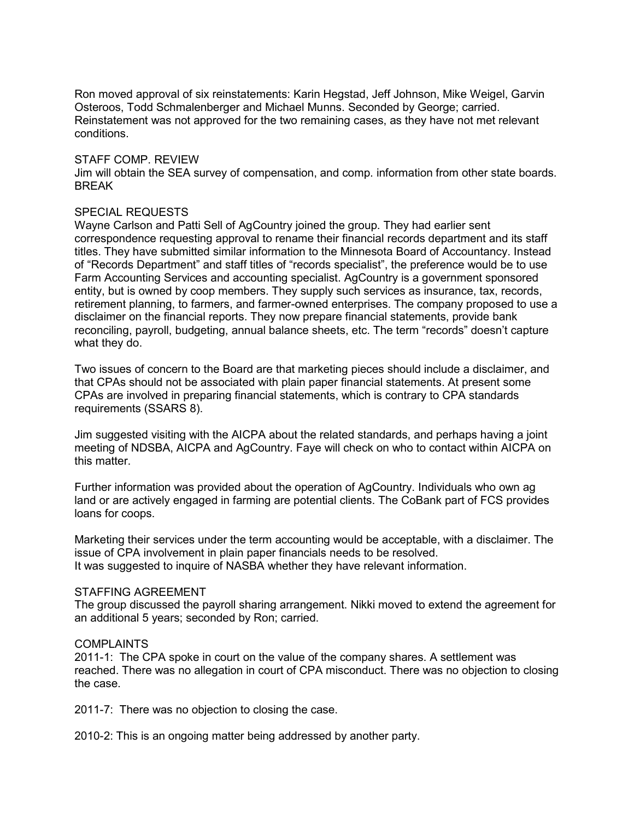Ron moved approval of six reinstatements: Karin Hegstad, Jeff Johnson, Mike Weigel, Garvin Osteroos, Todd Schmalenberger and Michael Munns. Seconded by George; carried. Reinstatement was not approved for the two remaining cases, as they have not met relevant conditions.

#### STAFF COMP. REVIEW

Jim will obtain the SEA survey of compensation, and comp. information from other state boards. BREAK

#### SPECIAL REQUESTS

Wayne Carlson and Patti Sell of AgCountry joined the group. They had earlier sent correspondence requesting approval to rename their financial records department and its staff titles. They have submitted similar information to the Minnesota Board of Accountancy. Instead of "Records Department" and staff titles of "records specialist", the preference would be to use Farm Accounting Services and accounting specialist. AgCountry is a government sponsored entity, but is owned by coop members. They supply such services as insurance, tax, records, retirement planning, to farmers, and farmer-owned enterprises. The company proposed to use a disclaimer on the financial reports. They now prepare financial statements, provide bank reconciling, payroll, budgeting, annual balance sheets, etc. The term "records" doesn't capture what they do.

Two issues of concern to the Board are that marketing pieces should include a disclaimer, and that CPAs should not be associated with plain paper financial statements. At present some CPAs are involved in preparing financial statements, which is contrary to CPA standards requirements (SSARS 8).

Jim suggested visiting with the AICPA about the related standards, and perhaps having a joint meeting of NDSBA, AICPA and AgCountry. Faye will check on who to contact within AICPA on this matter.

Further information was provided about the operation of AgCountry. Individuals who own ag land or are actively engaged in farming are potential clients. The CoBank part of FCS provides loans for coops.

Marketing their services under the term accounting would be acceptable, with a disclaimer. The issue of CPA involvement in plain paper financials needs to be resolved. It was suggested to inquire of NASBA whether they have relevant information.

#### STAFFING AGREEMENT

The group discussed the payroll sharing arrangement. Nikki moved to extend the agreement for an additional 5 years; seconded by Ron; carried.

### **COMPLAINTS**

2011-1: The CPA spoke in court on the value of the company shares. A settlement was reached. There was no allegation in court of CPA misconduct. There was no objection to closing the case.

2011-7: There was no objection to closing the case.

2010-2: This is an ongoing matter being addressed by another party.